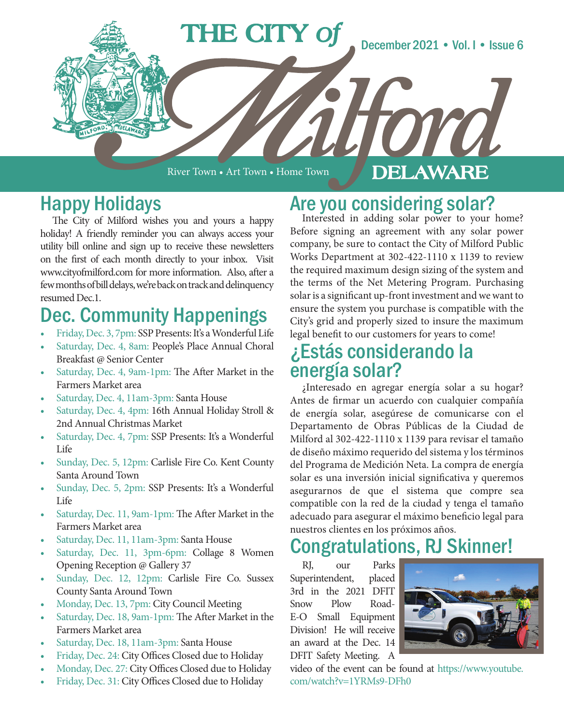

River Town • Art Town • Home Town

### **DELAWARE**

### Happy Holidays

The City of Milford wishes you and yours a happy holiday! A friendly reminder you can always access your utility bill online and sign up to receive these newsletters on the first of each month directly to your inbox. Visit www.cityofmilford.com for more information. Also, after a few months of bill delays, we're back on track and delinquency resumed Dec.1.

## Dec. Community Happenings

- Friday, Dec. 3, 7pm: SSP Presents: It's a Wonderful Life
- Saturday, Dec. 4, 8am: People's Place Annual Choral Breakfast @ Senior Center
- Saturday, Dec. 4, 9am-1pm: The After Market in the Farmers Market area
- Saturday, Dec. 4, 11am-3pm: Santa House
- Saturday, Dec. 4, 4pm: 16th Annual Holiday Stroll & 2nd Annual Christmas Market
- Saturday, Dec. 4, 7pm: SSP Presents: It's a Wonderful Life
- Sunday, Dec. 5, 12pm: Carlisle Fire Co. Kent County Santa Around Town
- Sunday, Dec. 5, 2pm: SSP Presents: It's a Wonderful Life
- Saturday, Dec. 11, 9am-1pm: The After Market in the Farmers Market area
- Saturday, Dec. 11, 11am-3pm: Santa House
- Saturday, Dec. 11, 3pm-6pm: Collage 8 Women Opening Reception @ Gallery 37
- Sunday, Dec. 12, 12pm: Carlisle Fire Co. Sussex County Santa Around Town
- Monday, Dec. 13, 7pm: City Council Meeting
- Saturday, Dec. 18, 9am-1pm: The After Market in the Farmers Market area
- Saturday, Dec. 18, 11am-3pm: Santa House
- Friday, Dec. 24: City Offices Closed due to Holiday
- Monday, Dec. 27: City Offices Closed due to Holiday
- Friday, Dec. 31: City Offices Closed due to Holiday

# Are you considering solar?<br>Interested in adding solar power to your home?

Before signing an agreement with any solar power company, be sure to contact the City of Milford Public Works Department at 302-422-1110 x 1139 to review the required maximum design sizing of the system and the terms of the Net Metering Program. Purchasing solar is a significant up-front investment and we want to ensure the system you purchase is compatible with the City's grid and properly sized to insure the maximum legal benefit to our customers for years to come!

### ¿Estás considerando la energía solar?

¿Interesado en agregar energía solar a su hogar? Antes de firmar un acuerdo con cualquier compañía de energía solar, asegúrese de comunicarse con el Departamento de Obras Públicas de la Ciudad de Milford al 302-422-1110 x 1139 para revisar el tamaño de diseño máximo requerido del sistema y los términos del Programa de Medición Neta. La compra de energía solar es una inversión inicial significativa y queremos asegurarnos de que el sistema que compre sea compatible con la red de la ciudad y tenga el tamaño adecuado para asegurar el máximo beneficio legal para nuestros clientes en los próximos años.

### Congratulations, RJ Skinner!

RJ, our Parks Superintendent, placed 3rd in the 2021 DFIT Snow Plow Road-E-O Small Equipment Division! He will receive an award at the Dec. 14 DFIT Safety Meeting. A



video of the event can be found at https://www.youtube. com/watch?v=1YRMs9-DFh0